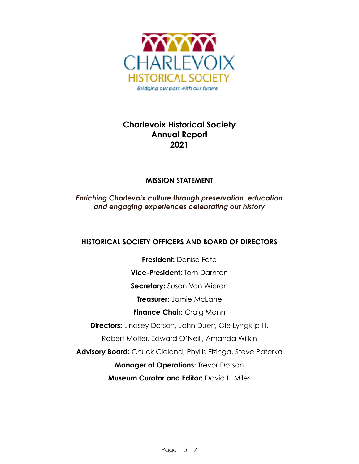

# **Charlevoix Historical Society Annual Report 2021**

# **MISSION STATEMENT**

*Enriching Charlevoix culture through preservation, education and engaging experiences celebrating our history*

# **HISTORICAL SOCIETY OFFICERS AND BOARD OF DIRECTORS**

**President:** Denise Fate **Vice-President:** Tom Darnton **Secretary:** Susan Van Wieren **Treasurer:** Jamie McLane **Finance Chair:** Craig Mann **Directors:** Lindsey Dotson, John Duerr, Ole Lyngklip III, Robert Molter, Edward O'Neill, Amanda Wilkin **Advisory Board:** Chuck Cleland, Phyllis Elzinga, Steve Paterka **Manager of Operations: Trevor Dotson Museum Curator and Editor: David L. Miles**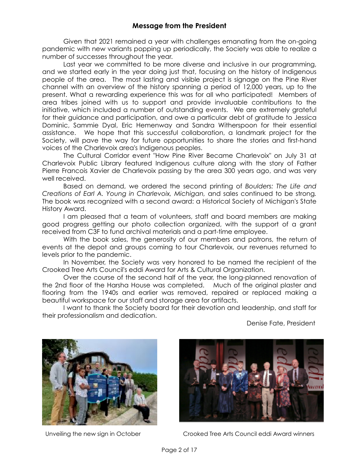Given that 2021 remained a year with challenges emanating from the on-going pandemic with new variants popping up periodically, the Society was able to realize a number of successes throughout the year.

Last year we committed to be more diverse and inclusive in our programming, and we started early in the year doing just that, focusing on the history of Indigenous people of the area. The most lasting and visible project is signage on the Pine River channel with an overview of the history spanning a period of 12,000 years, up to the present. What a rewarding experience this was for all who participated! Members of area tribes joined with us to support and provide invaluable contributions to the initiative, which included a number of outstanding events. We are extremely grateful for their guidance and participation, and owe a particular debt of gratitude to Jessica Dominic, Sammie Dyal, Eric Hemenway and Sandra Witherspoon for their essential assistance. We hope that this successful collaboration, a landmark project for the Society, will pave the way for future opportunities to share the stories and first-hand voices of the Charlevoix area's Indigenous peoples.

The Cultural Corridor event "How Pine River Became Charlevoix" on July 31 at Charlevoix Public Library featured Indigenous culture along with the story of Father Pierre Francois Xavier de Charlevoix passing by the area 300 years ago, and was very well received.

Based on demand, we ordered the second printing of *Boulders: The Life and Creations of Earl A. Young in Charlevoix, Michigan,* and sales continued to be strong*.*  The book was recognized with a second award: a Historical Society of Michigan's State History Award.

I am pleased that a team of volunteers, staff and board members are making good progress getting our photo collection organized, with the support of a grant received from C3F to fund archival materials and a part-time employee.

With the book sales, the generosity of our members and patrons, the return of events at the depot and groups coming to tour Charlevoix, our revenues returned to levels prior to the pandemic.

In November, the Society was very honored to be named the recipient of the Crooked Tree Arts Council's eddi Award for Arts & Cultural Organization.

Over the course of the second half of the year, the long-planned renovation of the 2nd floor of the Harsha House was completed. Much of the original plaster and flooring from the 1940s and earlier was removed, repaired or replaced making a beautiful workspace for our staff and storage area for artifacts.

I want to thank the Society board for their devotion and leadership, and staff for their professionalism and dedication.

Denise Fate, President





Unveiling the new sign in October Crooked Tree Arts Council eddi Award winners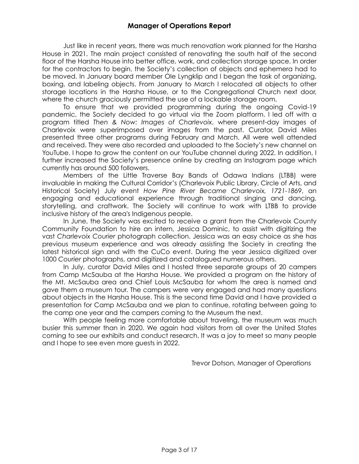Just like in recent years, there was much renovation work planned for the Harsha House in 2021. The main project consisted of renovating the south half of the second floor of the Harsha House into better office, work, and collection storage space. In order for the contractors to begin, the Society's collection of objects and ephemera had to be moved. In January board member Ole Lyngklip and I began the task of organizing, boxing, and labeling objects. From January to March I relocated all objects to other storage locations in the Harsha House, or to the Congregational Church next door, where the church graciously permitted the use of a lockable storage room.

To ensure that we provided programming during the ongoing Covid-19 pandemic, the Society decided to go virtual via the Zoom platform. I led off with a program titled *Then & Now: Images of Charlevoix*, where present-day images of Charlevoix were superimposed over images from the past. Curator, David Miles presented three other programs during February and March. All were well attended and received. They were also recorded and uploaded to the Society's new channel on YouTube. I hope to grow the content on our YouTube channel during 2022. In addition, I further increased the Society's presence online by creating an Instagram page which currently has around 500 followers.

Members of the Little Traverse Bay Bands of Odawa Indians (LTBB) were invaluable in making the Cultural Corridor's (Charlevoix Public Library, Circle of Arts, and Historical Society) July event *How Pine River Became Charlevoix, 1721-1869*, an engaging and educational experience through traditional singing and dancing, storytelling, and craftwork. The Society will continue to work with LTBB to provide inclusive history of the area's Indigenous people.

In June, the Society was excited to receive a grant from the Charlevoix County Community Foundation to hire an intern, Jessica Dominic, to assist with digitizing the vast *Charlevoix Courier* photograph collection. Jessica was an easy choice as she has previous museum experience and was already assisting the Society in creating the latest historical sign and with the CuCo event. During the year Jessica digitized over 1000 *Courier* photographs, and digitized and catalogued numerous others.

In July, curator David Miles and I hosted three separate groups of 20 campers from Camp McSauba at the Harsha House. We provided a program on the history of the Mt. McSauba area and Chief Louis McSauba for whom the area is named and gave them a museum tour. The campers were very engaged and had many questions about objects in the Harsha House. This is the second time David and I have provided a presentation for Camp McSauba and we plan to continue, rotating between going to the camp one year and the campers coming to the Museum the next.

With people feeling more comfortable about traveling, the museum was much busier this summer than in 2020. We again had visitors from all over the United States coming to see our exhibits and conduct research. It was a joy to meet so many people and I hope to see even more guests in 2022.

Trevor Dotson, Manager of Operations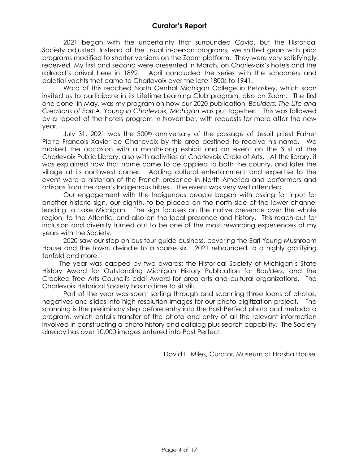2021 began with the uncertainty that surrounded Covid, but the Historical Society adjusted. Instead of the usual in-person programs, we shifted gears with prior programs modified to shorter versions on the Zoom platform. They were very satisfyingly received. My first and second were presented in March, on Charlevoix's hotels and the railroad's arrival here in 1892. April concluded the series with the schooners and palatial yachts that came to Charlevoix over the late 1800s to 1941.

 Word of this reached North Central Michigan College in Petoskey, which soon invited us to participate in its Lifetime Learning Club program, also on Zoom. The first one done, in May, was my program on how our 2020 publication, *Boulders: The Life and Creations of Earl A. Young in Charlevoix, Michigan* was put together. This was followed by a repeat of the hotels program in November, with requests for more after the new year.

July 31, 2021 was the 300<sup>th</sup> anniversary of the passage of Jesuit priest Father Pierre Francois Xavier de Charlevoix by this area destined to receive his name. We marked the occasion with a month-long exhibit and an event on the 31st at the Charlevoix Public Library, also with activities at Charlevoix Circle of Arts. At the library, it was explained how that name came to be applied to both the county, and later the village at its northwest corner. Adding cultural entertainment and expertise to the event were a historian of the French presence in North America and performers and artisans from the area's Indigenous tribes. The event was very well attended.

Our engagement with the Indigenous people began with asking for input for another historic sign, our eighth, to be placed on the north side of the lower channel leading to Lake Michigan. The sign focuses on the native presence over the whole region, to the Atlantic, and also on the local presence and history. This reach-out for inclusion and diversity turned out to be one of the most rewarding experiences of my years with the Society.

2020 saw our step-on bus tour guide business, covering the Earl Young Mushroom House and the town, dwindle to a sparse six. 2021 rebounded to a highly gratifying tenfold and more.

 The year was capped by two awards: the Historical Society of Michigan's State History Award for Outstanding Michigan History Publication for *Boulders,* and the Crooked Tree Arts Council's eddi Award for area arts and cultural organizations. The Charlevoix Historical Society has no time to sit still.

Part of the year was spent sorting through and scanning three loans of photos, negatives and slides into high-resolution images for our photo digitization project. The scanning is the preliminary step before entry into the Past Perfect photo and metadata program, which entails transfer of the photo and entry of all the relevant information involved in constructing a photo history and catalog plus search capability. The Society already has over 10,000 images entered into Past Perfect.

David L. Miles, Curator, Museum at Harsha House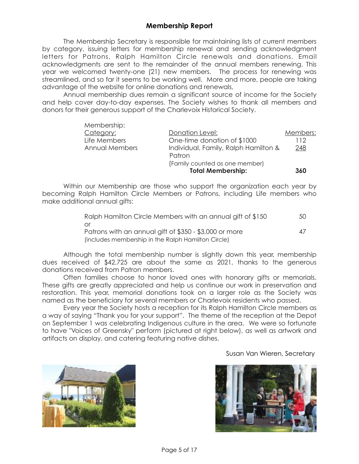# **Membership Report**

The Membership Secretary is responsible for maintaining lists of current members by category, issuing letters for membership renewal and sending acknowledgment letters for Patrons, Ralph Hamilton Circle renewals and donations. Email acknowledgments are sent to the remainder of the annual members renewing. This year we welcomed twenty-one (21) new members. The process for renewing was streamlined, and so far it seems to be working well. More and more, people are taking advantage of the website for online donations and renewals.

Annual membership dues remain a significant source of income for the Society and help cover day-to-day expenses. The Society wishes to thank all members and donors for their generous support of the Charlevoix Historical Society.

|                | Patron<br>(Family counted as one member)<br><b>Total Membership:</b> | 360      |
|----------------|----------------------------------------------------------------------|----------|
| Annual Members | Individual, Family, Ralph Hamilton &                                 | 248      |
| Life Members   | One-time donation of \$1000                                          | 112      |
| Category:      | Donation Level:                                                      | Members: |
| Membership:    |                                                                      |          |

Within our Membership are those who support the organization each year by becoming Ralph Hamilton Circle Members or Patrons, including Life members who make additional annual gifts:

| Ralph Hamilton Circle Members with an annual gift of \$150 | 50 |
|------------------------------------------------------------|----|
| 0r                                                         |    |
| Patrons with an annual gift of \$350 - \$3,000 or more     | 47 |
| (includes membership in the Ralph Hamilton Circle)         |    |

Although the total membership number is slightly down this year, membership dues received of \$42,725 are about the same as 2021, thanks to the generous donations received from Patron members.

Often families choose to honor loved ones with honorary gifts or memorials. These gifts are greatly appreciated and help us continue our work in preservation and restoration. This year, memorial donations took on a larger role as the Society was named as the beneficiary for several members or Charlevoix residents who passed.

Every year the Society hosts a reception for its Ralph Hamilton Circle members as a way of saying "Thank you for your support". The theme of the reception at the Depot on September 1 was celebrating Indigenous culture in the area. We were so fortunate to have "Voices of Greensky" perform (pictured at right below), as well as artwork and artifacts on display, and catering featuring native dishes.

#### Susan Van Wieren, Secretary



Membership:

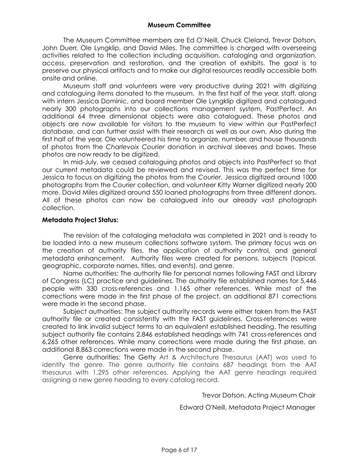#### **Museum Committee**

The Museum Committee members are Ed O'Neill, Chuck Cleland, Trevor Dotson, John Duerr, Ole Lyngklip, and David Miles. The committee is charged with overseeing activities related to the collection including acquisition, cataloging and organization, access, preservation and restoration, and the creation of exhibits. The goal is to preserve our physical artifacts and to make our digital resources readily accessible both onsite and online.

Museum staff and volunteers were very productive during 2021 with digitizing and cataloguing items donated to the museum. In the first half of the year, staff, along with intern Jessica Dominic, and board member Ole Lyngklip digitized and catalogued nearly 300 photographs into our collections management system, PastPerfect. An additional 64 three dimensional objects were also catalogued. These photos and objects are now available for visitors to the museum to view within our PastPerfect database, and can further assist with their research as well as our own. Also during the first half of the year, Ole volunteered his time to organize, number, and house thousands of photos from the *Charlevoix Courier* donation in archival sleeves and boxes. These photos are now ready to be digitized.

In mid-July, we ceased cataloguing photos and objects into PastPerfect so that our current metadata could be reviewed and revised. This was the perfect time for Jessica to focus on digitizing the photos from the *Courier*. Jessica digitized around 1000 photographs from the *Courier* collection, and volunteer Kitty Warner digitized nearly 200 more. David Miles digitized around 550 loaned photographs from three different donors. All of these photos can now be catalogued into our already vast photograph collection.

#### **Metadata Project Status:**

The revision of the cataloging metadata was completed in 2021 and is ready to be loaded into a new museum collections software system. The primary focus was on the creation of authority files, the application of authority control, and general metadata enhancement. Authority files were created for persons, subjects (topical, geographic, corporate names, titles, and events), and genre.

Name authorities: The authority file for personal names following FAST and Library of Congress (LC) practice and guidelines. The authority file established names for 5,446 people with 330 cross-references and 1,165 other references. While most of the corrections were made in the first phase of the project, an additional 871 corrections were made in the second phase.

Subject authorities: The subject authority records were either taken from the FAST authority file or created consistently with the FAST guidelines. Cross-references were created to link invalid subject terms to an equivalent established heading. The resulting subject authority file contains 2,846 established headings with 741 cross-references and 6,265 other references. While many corrections were made during the first phase, an additional 8,863 corrections were made in the second phase.

Genre authorities: The Getty Art & Architecture Thesaurus (AAT) was used to identify the genre. The genre authority file contains 687 headings from the AAT thesaurus with 1,295 other references. Applying the AAT genre headings required assigning a new genre heading to every catalog record.

Trevor Dotson, Acting Museum Chair

Edward O'Neill, Metadata Project Manager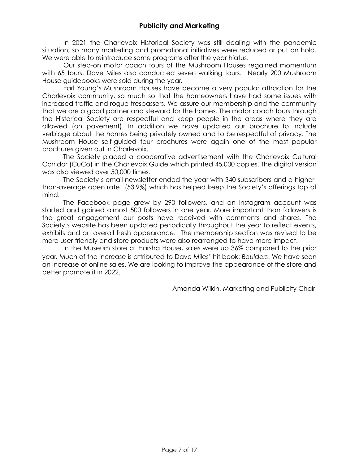In 2021 the Charlevoix Historical Society was still dealing with the pandemic situation, so many marketing and promotional initiatives were reduced or put on hold. We were able to reintroduce some programs after the year hiatus.

Our step-on motor coach tours of the Mushroom Houses regained momentum with 65 tours. Dave Miles also conducted seven walking tours. Nearly 200 Mushroom House guidebooks were sold during the year.

Earl Young's Mushroom Houses have become a very popular attraction for the Charlevoix community, so much so that the homeowners have had some issues with increased traffic and rogue trespassers. We assure our membership and the community that we are a good partner and steward for the homes. The motor coach tours through the Historical Society are respectful and keep people in the areas where they are allowed (on pavement). In addition we have updated our brochure to include verbiage about the homes being privately owned and to be respectful of privacy. The Mushroom House self-guided tour brochures were again one of the most popular brochures given out in Charlevoix.

The Society placed a cooperative advertisement with the Charlevoix Cultural Corridor (CuCo) in the Charlevoix Guide which printed 45,000 copies. The digital version was also viewed over 50,000 times.

The Society's email newsletter ended the year with 340 subscribers and a higherthan-average open rate (53.9%) which has helped keep the Society's offerings top of mind.

 The Facebook page grew by 290 followers, and an Instagram account was started and gained almost 500 followers in one year. More important than followers is the great engagement our posts have received with comments and shares. The Society's website has been updated periodically throughout the year to reflect events, exhibits and an overall fresh appearance. The membership section was revised to be more user-friendly and store products were also rearranged to have more impact.

 In the Museum store at Harsha House, sales were up 36% compared to the prior year. Much of the increase is attributed to Dave Miles' hit book: *Boulders*. We have seen an increase of online sales. We are looking to improve the appearance of the store and better promote it in 2022.

Amanda Wilkin, Marketing and Publicity Chair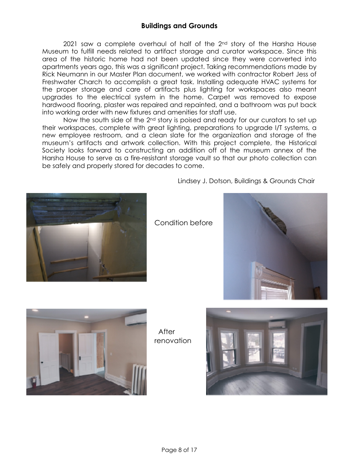2021 saw a complete overhaul of half of the  $2<sup>nd</sup>$  story of the Harsha House Museum to fulfill needs related to artifact storage and curator workspace. Since this area of the historic home had not been updated since they were converted into apartments years ago, this was a significant project. Taking recommendations made by Rick Neumann in our Master Plan document, we worked with contractor Robert Jess of Freshwater Charch to accomplish a great task. Installing adequate HVAC systems for the proper storage and care of artifacts plus lighting for workspaces also meant upgrades to the electrical system in the home. Carpet was removed to expose hardwood flooring, plaster was repaired and repainted, and a bathroom was put back into working order with new fixtures and amenities for staff use.

Now the south side of the 2<sup>nd</sup> story is poised and ready for our curators to set up their workspaces, complete with great lighting, preparations to upgrade I/T systems, a new employee restroom, and a clean slate for the organization and storage of the museum's artifacts and artwork collection. With this project complete, the Historical Society looks forward to constructing an addition off of the museum annex of the Harsha House to serve as a fire-resistant storage vault so that our photo collection can be safely and properly stored for decades to come.



Lindsey J. Dotson, Buildings & Grounds Chair







**After** renovation

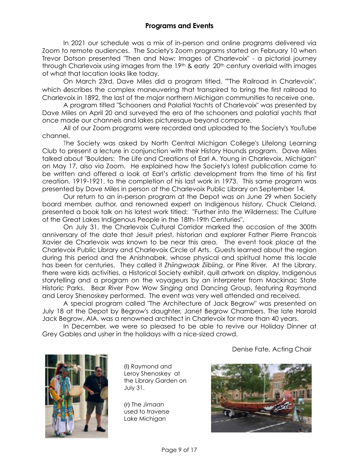In 2021 our schedule was a mix of in-person and online programs delivered via Zoom to remote audiences. The Society's Zoom programs started on February 10 when Trevor Dotson presented "Then and Now: Images of Charlevoix" - a pictorial journey through Charlevoix using images from the 19<sup>th</sup> & early 20<sup>th</sup> century overlaid with images of what that location looks like today.

On March 23rd, Dave Miles did a program titled, ""The Railroad in Charlevoix", which describes the complex maneuvering that transpired to bring the first railroad to Charlevoix in 1892, the last of the major northern Michigan communities to receive one.

A program titled "Schooners and Palatial Yachts of Charlevoix" was presented by Dave Miles on April 20 and surveyed the era of the schooners and palatial yachts that once made our channels and lakes picturesque beyond compare.

All of our Zoom programs were recorded and uploaded to the Society's YouTube channel.

The Society was asked by North Central Michigan College's Lifelong Learning Club to present a lecture in conjunction with their History Hounds program. Dave Miles talked about "Boulders: The Life and Creations of Earl A. Young in Charlevoix, Michigan" on May 17, also via Zoom. He explained how the Society's latest publication came to be written and offered a look at Earl's artistic development from the time of his first creation, 1919-1921, to the completion of his last work in 1973. This same program was presented by Dave Miles in person at the Charlevoix Public Library on September 14.

Our return to an in-person program at the Depot was on June 29 when Society board member, author, and renowned expert on Indigenous history, Chuck Cleland, presented a book talk on his latest work titled: "Further into the Wilderness: The Culture of the Great Lakes Indigenous People in the 18th-19th Centuries".

On July 31, the Charlevoix Cultural Corridor marked the occasion of the 300th anniversary of the date that Jesuit priest, historian and explorer Father Pierre Francois Xavier de Charlevoix was known to be near this area. The event took place at the Charlevoix Public Library and Charlevoix Circle of Arts. Guests learned about the region during this period and the Anishnabek, whose physical and spiritual home this locale has been for centuries. They called it *Zhiingwaak Ziibiing*, or Pine River. At the Library. there were kids activities, a Historical Society exhibit, quill artwork on display, Indigenous storytelling and a program on the voyageurs by an interpreter from Mackinac State Historic Parks. Bear River Pow Wow Singing and Dancing Group, featuring Raymond and Leroy Shenoskey performed. The event was very well attended and received.

A special program called "The Architecture of Jack Begrow" was presented on July 18 at the Depot by Begrow's daughter, Janet Begrow Chambers. The late Harold Jack Begrow, AIA, was a renowned architect in Charlevoix for more than 40 years.

In December, we were so pleased to be able to revive our Holiday Dinner at Grey Gables and usher in the holidays with a nice-sized crowd.

Denise Fate, Acting Chair



(l) Raymond and Leroy Shenoskey at the Library Garden on July 31.

(r) The *Jimaan* used to traverse Lake Michigan

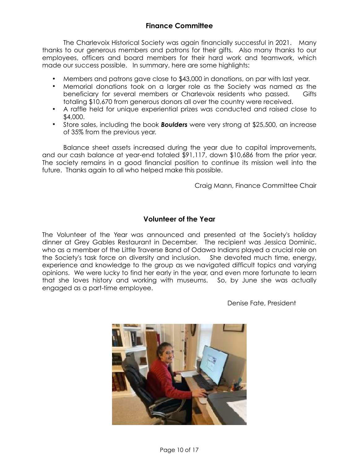# **Finance Committee**

The Charlevoix Historical Society was again financially successful in 2021. Many thanks to our generous members and patrons for their gifts. Also many thanks to our employees, officers and board members for their hard work and teamwork, which made our success possible. In summary, here are some highlights:

- **•** Members and patrons gave close to \$43,000 in donations, on par with last year.
- **•** Memorial donations took on a larger role as the Society was named as the beneficiary for several members or Charlevoix residents who passed. Gifts totaling \$10,670 from generous donors all over the country were received.
- **•** A raffle held for unique experiential prizes was conducted and raised close to \$4,000.
- **•** Store sales, including the book *Boulders* were very strong at \$25,500, an increase of 35% from the previous year.

Balance sheet assets increased during the year due to capital improvements, and our cash balance at year-end totaled \$91,117, down \$10,686 from the prior year. The society remains in a good financial position to continue its mission well into the future. Thanks again to all who helped make this possible.

Craig Mann, Finance Committee Chair

## **Volunteer of the Year**

The Volunteer of the Year was announced and presented at the Society's holiday dinner at Grey Gables Restaurant in December. The recipient was Jessica Dominic, who as a member of the Little Traverse Band of Odawa Indians played a crucial role on the Society's task force on diversity and inclusion. She devoted much time, energy, experience and knowledge to the group as we navigated difficult topics and varying opinions. We were lucky to find her early in the year, and even more fortunate to learn that she loves history and working with museums. So, by June she was actually engaged as a part-time employee.

Denise Fate, President

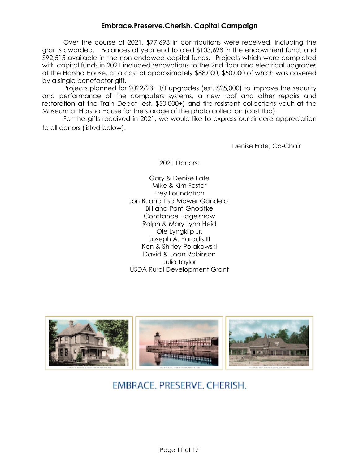# **Embrace.Preserve.Cherish. Capital Campaign**

Over the course of 2021, \$77,698 in contributions were received, including the grants awarded. Balances at year end totaled \$103,698 in the endowment fund, and \$92,515 available in the non-endowed capital funds. Projects which were completed with capital funds in 2021 included renovations to the 2nd floor and electrical upgrades at the Harsha House, at a cost of approximately \$88,000, \$50,000 of which was covered by a single benefactor gift.

Projects planned for 2022/23: I/T upgrades (est. \$25,000) to improve the security and performance of the computers systems, a new roof and other repairs and restoration at the Train Depot (est. \$50,000+) and fire-resistant collections vault at the Museum at Harsha House for the storage of the photo collection (cost tbd).

For the gifts received in 2021, we would like to express our sincere appreciation to all donors (listed below).

Denise Fate, Co-Chair

2021 Donors:

Gary & Denise Fate Mike & Kim Foster Frey Foundation Jon B. and Lisa Mower Gandelot Bill and Pam Gnodtke Constance Hagelshaw Ralph & Mary Lynn Heid Ole Lyngklip Jr. Joseph A. Paradis III Ken & Shirley Polakowski David & Joan Robinson Julia Taylor USDA Rural Development Grant



# EMBRACE, PRESERVE, CHERISH.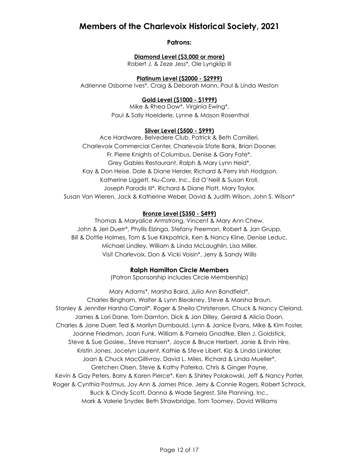# **Members of the Charlevoix Historical Society, 2021**

**Patrons:**

### **Diamond Level (\$3,000 or more)**

Robert J. & Zeze Jess\*, Ole Lyngklip III

### **Platinum Level (\$2000 - \$2999)**

Adrienne Osborne Ives\*, Craig & Deborah Mann, Paul & Linda Weston

## **Gold Level (\$1000 - \$1999)**

Mike & Rhea Dow\*, Virginia Ewing\*, Paul & Sally Hoelderle, Lynne & Mason Rosenthal

#### **Silver Level (\$500 - \$999)**

Ace Hardware, Belvedere Club, Patrick & Beth Camilleri, Charlevoix Commercial Center, Charlevoix State Bank, Brian Dooner, Fr. Pierre Knights of Columbus, Denise & Gary Fate\*, Grey Gables Restaurant, Ralph & Mary Lynn Heid\*, Kay & Don Heise, Dale & Diane Herder, Richard & Perry Irish Hodgson, Katherine Liggett, Nu-Core, Inc., Ed O'Neill & Susan Kroll, Joseph Paradis III\*, Richard & Diane Platt, Mary Taylor, Susan Van Wieren, Jack & Katherine Weber, David & Judith Wilson, John S. Wilson\*

#### **Bronze Level (\$350 - \$499)**

Thomas & Maryalice Armstrong, Vincent & Mary Ann Chew, John & Jeri Duerr\*, Phyllis Elzinga, Stefany Freeman, Robert & Jan Grupp, Bill & Dottie Holmes, Tom & Sue Kirkpatrick, Ken & Nancy Kline, Denise Leduc, Michael Lindley, William & Linda McLaughlin, Lisa Miller, Visit Charlevoix, Don & Vicki Voisin\*, Jerry & Sandy Willis

#### **Ralph Hamilton Circle Members**

(Patron Sponsorship includes Circle Membership)

Mary Adams\*, Marsha Baird, Julia Ann Bandfield\*, Charles Bingham, Walter & Lynn Bleakney, Steve & Marsha Braun, Stanley & Jennifer Harsha Carroll\*, Roger & Sheila Christensen, Chuck & Nancy Cleland, James & Lori Dane, Tom Darnton, Dick & Jan Dilley*,* Gerard & Alicia Doan, Charles & Jane Duerr, Ted & Marilyn Dumbauld, Lynn & Janice Evans, Mike & Kim Foster, Joanne Friedman, Joan Funk, William & Pamela Gnodtke, Ellen J. Goldstick, Steve & Sue Goslee,, Steve Hansen\*, Joyce & Bruce Herbert, Janie & Ervin Hire, Kristin Jones, Jocelyn Laurent, Kathie & Steve Libert, Kip & Linda Linklater, Joan & Chuck MacGillivray, David L. Miles, Richard & Linda Mueller\*, Gretchen Olsen, Steve & Kathy Paterka, Chris & Ginger Payne, Kevin & Gay Peters, Barry & Karen Pierce\*, Ken & Shirley Polakowski, Jeff & Nancy Porter, Roger & Cynthia Postmus, Joy Ann & James Price, Jerry & Connie Rogers, Robert Schrock, Buck & Cindy Scott, Danna & Wade Segrest, Site Planning, Inc., Mark & Valerie Snyder, Beth Strawbridge, Tom Toomey, David Williams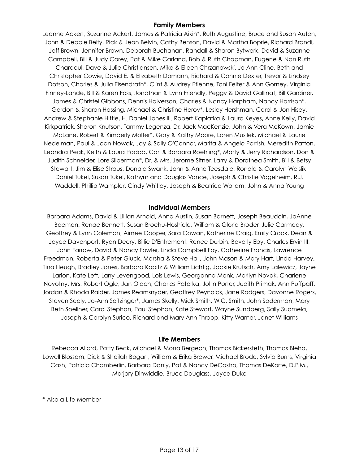#### **Family Members**

Leanne Ackert, Suzanne Ackert, James & Patricia Aikin\*, Ruth Augustine, Bruce and Susan Auten, John & Debbie Belfy, Rick & Jean Belvin, Cathy Benson, David & Martha Boprie, Richard Brandi, Jeff Brown, Jennifer Brown**,** Deborah Buchanan, Randall & Sharon Bytwerk, David & Suzanne Campbell, Bill & Judy Carey, Pat & Mike Carland, Bob & Ruth Chapman, Eugene & Nan Ruth Chardoul, Dave & Julie Christiansen**,** Mike & Eileen Chrzanowski, Jo Ann Cline, Beth and Christopher Cowie**,** David E. & Elizabeth Domann, Richard & Connie Dexter, Trevor & Lindsey Dotson, Charles & Julia Eisendrath\*, Clint & Audrey Etienne, Toni Felter & Ann Gorney, Virginia Finney-Lahde, Bill & Karen Foss, Jonathan & Lynn Friendly, Peggy & David Gallinat, Bill Gardiner, James & Christel Gibbons, Dennis Halverson, Charles & Nancy Harpham, Nancy Harrison\*, Gordon & Sharon Hassing**,** Michael & Christine Heroy\*, Lesley Hershman, Carol & Jon Hisey**,**  Andrew & Stephanie Hittle, H. Daniel Jones III. Robert Kaplafka & Laura Keyes**,** Anne Kelly, David Kirkpatrick, Sharon Knutson, Tammy Legenza, Dr. Jack MacKenzie, John & Vera McKown, Jamie McLane, Robert & Kimberly Molter\*, Gary & Kathy Moore, Loren Musilek, Michael & Laurie Nedelman, Paul & Joan Nowak, Jay & Sally O'Connor, Marita & Angelo Parrish, Meredith Patton, Leandra Peak, Keith & Laura Podob, Carl & Barbara Roehling\*, Marty & Jerry Richardson**,** Don & Judith Schneider, Lore Silberman\*, Dr. & Mrs. Jerome Sitner, Larry & Dorothea Smith, Bill & Betsy Stewart, Jim & Elise Straus, Donald Swank, John & Anne Teesdale, Ronald & Carolyn Weislik, Daniel Tukel, Susan Tukel, Kathyrn and Douglas Vance, Joseph & Christie Vogelheim, R.J. Waddell, Phillip Wampler**,** Cindy Whitley, Joseph & Beatrice Wollam, John & Anna Young

#### **Individual Members**

Barbara Adams, David & Lillian Arnold, Anna Austin, Susan Barnett, Joseph Beaudoin, JoAnne Beemon**,** Renae Bennett, Susan Brochu-Hoshield, William & Gloria Broder, Julie Carmody, Geoffrey & Lynn Coleman, Aimee Cooper, Sara Cowan, Katherine Craig, Emily Crook, Dean & Joyce Davenport, Ryan Deery, Billie D'Entremont, Renee Durbin, Beverly Eby, Charles Ervin III, John Farrow**,** David & Nancy Fowler, Linda Campbell Foy, Catherine Francis, Lawrence Freedman, Roberta & Peter Gluck, Marsha & Steve Hall, John Mason & Mary Hart, Linda Harvey**,**  Tina Heugh, Bradley Jones, Barbara Kopitz & William Lichtig, Jackie Krutsch, Amy Lalewicz, Jayne Larion, Kate Left, Larry Levengood, Lois Lewis, Georganna Monk, Marilyn Novak, Charlene Novotny, Mrs. Robert Ogle, Jan Olach, Charles Paterka, John Porter, Judith Primak, Ann Puffpaff, Jordan & Rhoda Raider, James Reamsnyder, Geoffrey Reynolds, Jane Rodgers, Davonne Rogers, Steven Seely, Jo-Ann Seitzinger\*, James Skelly, Mick Smith, W.C. Smith, John Soderman, Mary Beth Soellner, Carol Stephan, Paul Stephan, Kate Stewart, Wayne Sundberg, Sally Suomela, Joseph & Carolyn Surico, Richard and Mary Ann Throop, Kitty Warner, Janet Williams

#### **Life Members**

Rebecca Allard, Patty Beck, Michael & Mona Bergeon, Thomas Bickersteth, Thomas Bleha, Lowell Blossom, Dick & Sheilah Bogart, William & Erika Brewer, Michael Brode, Sylvia Burns, Virginia Cash, Patricia Chamberlin, Barbara Danly, Pat & Nancy DeCastro, Thomas DeKorte, D.P.M., Marjory Dinwiddie, Bruce Douglass, Joyce Duke

\* Also a Life Member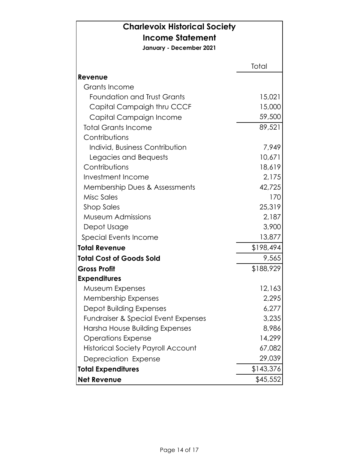| <b>Charlevoix Historical Society</b>           |           |
|------------------------------------------------|-----------|
| <b>Income Statement</b>                        |           |
| January - December 2021                        |           |
|                                                |           |
|                                                | Total     |
| Revenue<br>Grants Income                       |           |
| <b>Foundation and Trust Grants</b>             |           |
|                                                | 15,021    |
| Capital Campaigh thru CCCF                     | 15,000    |
| Capital Campaign Income                        | 59,500    |
| <b>Total Grants Income</b>                     | 89,521    |
| Contributions                                  |           |
| Individ, Business Contribution                 | 7,949     |
| Legacies and Bequests                          | 10,671    |
| Contributions                                  | 18,619    |
| Investment Income                              | 2,175     |
| Membership Dues & Assessments                  | 42,725    |
| Misc Sales                                     | 170       |
| <b>Shop Sales</b>                              | 25,319    |
| Museum Admissions                              | 2,187     |
| Depot Usage                                    | 3,900     |
| Special Events Income                          | 13,877    |
| <b>Total Revenue</b>                           | \$198,494 |
| <b>Total Cost of Goods Sold</b>                | 9,565     |
| <b>Gross Profit</b>                            | \$188,929 |
| <b>Expenditures</b>                            |           |
| Museum Expenses                                | 12,163    |
| <b>Membership Expenses</b>                     | 2,295     |
| <b>Depot Building Expenses</b>                 | 6,277     |
| <b>Fundraiser &amp; Special Event Expenses</b> | 3,235     |
| Harsha House Building Expenses                 | 8,986     |
| <b>Operations Expense</b>                      | 14,299    |
| <b>Historical Society Payroll Account</b>      | 67,082    |
| Depreciation Expense                           | 29,039    |
| <b>Total Expenditures</b>                      | \$143,376 |
| <b>Net Revenue</b>                             | \$45,552  |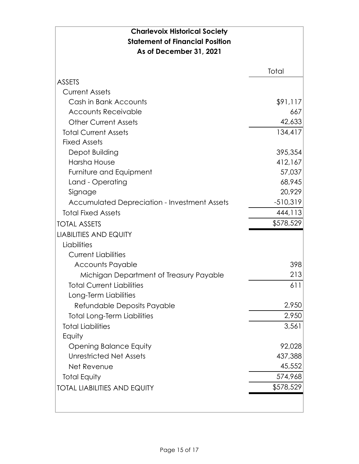| <b>Charlevoix Historical Society</b><br><b>Statement of Financial Position</b><br>As of December 31, 2021 |            |
|-----------------------------------------------------------------------------------------------------------|------------|
|                                                                                                           | Total      |
| <b>ASSETS</b>                                                                                             |            |
| <b>Current Assets</b>                                                                                     |            |
| Cash in Bank Accounts                                                                                     | \$91,117   |
| <b>Accounts Receivable</b>                                                                                | 667        |
| <b>Other Current Assets</b>                                                                               | 42,633     |
| <b>Total Current Assets</b>                                                                               | 134,417    |
| <b>Fixed Assets</b>                                                                                       |            |
| Depot Building                                                                                            | 395,354    |
| Harsha House                                                                                              | 412,167    |
| Furniture and Equipment                                                                                   | 57,037     |
| Land - Operating                                                                                          | 68,945     |
| Signage                                                                                                   | 20,929     |
| <b>Accumulated Depreciation - Investment Assets</b>                                                       | $-510,319$ |
| <b>Total Fixed Assets</b>                                                                                 | 444,113    |
| <b>TOTAL ASSETS</b>                                                                                       | \$578,529  |
| <b>LIABILITIES AND EQUITY</b>                                                                             |            |
| Liabilities                                                                                               |            |
| <b>Current Liabilities</b>                                                                                |            |
| <b>Accounts Payable</b>                                                                                   | 398        |
| Michigan Department of Treasury Payable                                                                   | 213        |
| <b>Total Current Liabilities</b>                                                                          | 611        |
| Long-Term Liabilities                                                                                     |            |
| Refundable Deposits Payable                                                                               | 2,950      |
| <b>Total Long-Term Liabilities</b>                                                                        | 2,950      |
| <b>Total Liabilities</b>                                                                                  | 3,561      |
| Equity                                                                                                    |            |
| <b>Opening Balance Equity</b>                                                                             | 92,028     |
| <b>Unrestricted Net Assets</b>                                                                            | 437,388    |
| Net Revenue                                                                                               | 45,552     |
| <b>Total Equity</b>                                                                                       | 574,968    |
| <b>TOTAL LIABILITIES AND EQUITY</b>                                                                       | \$578,529  |
|                                                                                                           |            |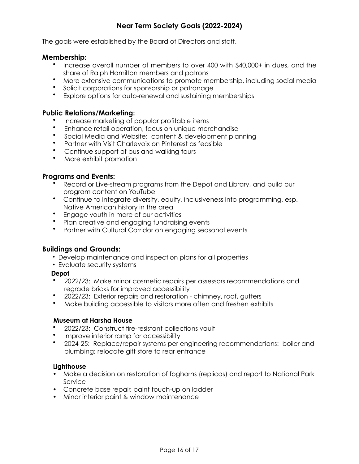# **Near Term Society Goals (2022-2024)**

The goals were established by the Board of Directors and staff.

## **Membership:**

- Increase overall number of members to over 400 with \$40,000+ in dues, and the share of Ralph Hamilton members and patrons
- More extensive communications to promote membership, including social media
- Solicit corporations for sponsorship or patronage
- Explore options for auto-renewal and sustaining memberships

## **Public Relations/Marketing:**

- Increase marketing of popular profitable items
- Enhance retail operation, focus on unique merchandise
- Social Media and Website: content & development planning
- Partner with Visit Charlevoix on Pinterest as feasible
- Continue support of bus and walking tours
- More exhibit promotion

## **Programs and Events:**

- Record or Live-stream programs from the Depot and Library, and build our program content on YouTube
- Continue to integrate diversity, equity, inclusiveness into programming, esp. Native American history in the area
- Engage youth in more of our activities
- Plan creative and engaging fundraising events
- Partner with Cultural Corridor on engaging seasonal events

## **Buildings and Grounds:**

- Develop maintenance and inspection plans for all properties
- Evaluate security systems

#### **Depot**

- 2022/23: Make minor cosmetic repairs per assessors recommendations and regrade bricks for improved accessibility
- 2022/23: Exterior repairs and restoration chimney, roof, gutters
- Make building accessible to visitors more often and freshen exhibits

#### **Museum at Harsha House**

- 2022/23: Construct fire-resistant collections vault
- Improve interior ramp for accessibility
- 2024-25: Replace/repair systems per engineering recommendations: boiler and plumbing; relocate gift store to rear entrance

#### **Lighthouse**

- **•** Make a decision on restoration of foghorns (replicas) and report to National Park Service
- **•** Concrete base repair, paint touch-up on ladder
- **•** Minor interior paint & window maintenance